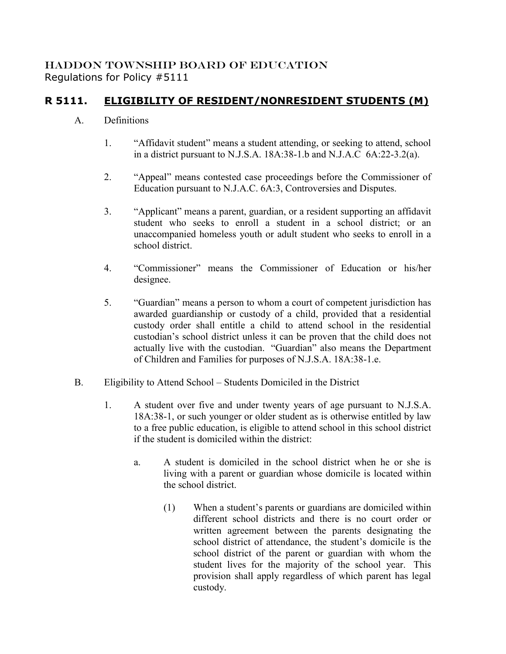## HADDON TOWNSHIP BOARD OF EDUCATION Regulations for Policy #5111

## **R 5111. ELIGIBILITY OF RESIDENT/NONRESIDENT STUDENTS (M)**

## A. Definitions

- 1. "Affidavit student" means a student attending, or seeking to attend, school in a district pursuant to N.J.S.A. 18A:38-1.b and N.J.A.C 6A:22-3.2(a).
- 2. "Appeal" means contested case proceedings before the Commissioner of Education pursuant to N.J.A.C. 6A:3, Controversies and Disputes.
- 3. "Applicant" means a parent, guardian, or a resident supporting an affidavit student who seeks to enroll a student in a school district; or an unaccompanied homeless youth or adult student who seeks to enroll in a school district.
- 4. "Commissioner" means the Commissioner of Education or his/her designee.
- 5. "Guardian" means a person to whom a court of competent jurisdiction has awarded guardianship or custody of a child, provided that a residential custody order shall entitle a child to attend school in the residential custodian's school district unless it can be proven that the child does not actually live with the custodian. "Guardian" also means the Department of Children and Families for purposes of N.J.S.A. 18A:38-1.e.
- B. Eligibility to Attend School Students Domiciled in the District
	- 1. A student over five and under twenty years of age pursuant to N.J.S.A. 18A:38-1, or such younger or older student as is otherwise entitled by law to a free public education, is eligible to attend school in this school district if the student is domiciled within the district:
		- a. A student is domiciled in the school district when he or she is living with a parent or guardian whose domicile is located within the school district.
			- (1) When a student's parents or guardians are domiciled within different school districts and there is no court order or written agreement between the parents designating the school district of attendance, the student's domicile is the school district of the parent or guardian with whom the student lives for the majority of the school year. This provision shall apply regardless of which parent has legal custody.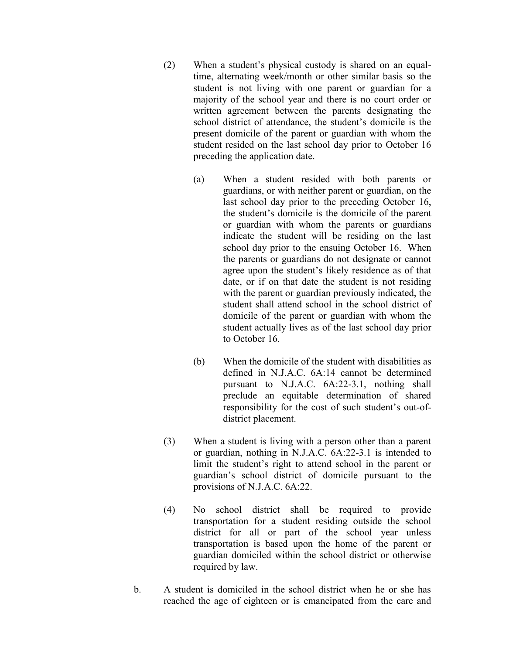- (2) When a student's physical custody is shared on an equaltime, alternating week/month or other similar basis so the student is not living with one parent or guardian for a majority of the school year and there is no court order or written agreement between the parents designating the school district of attendance, the student's domicile is the present domicile of the parent or guardian with whom the student resided on the last school day prior to October 16 preceding the application date.
	- (a) When a student resided with both parents or guardians, or with neither parent or guardian, on the last school day prior to the preceding October 16, the student's domicile is the domicile of the parent or guardian with whom the parents or guardians indicate the student will be residing on the last school day prior to the ensuing October 16. When the parents or guardians do not designate or cannot agree upon the student's likely residence as of that date, or if on that date the student is not residing with the parent or guardian previously indicated, the student shall attend school in the school district of domicile of the parent or guardian with whom the student actually lives as of the last school day prior to October 16.
	- (b) When the domicile of the student with disabilities as defined in N.J.A.C. 6A:14 cannot be determined pursuant to N.J.A.C. 6A:22-3.1, nothing shall preclude an equitable determination of shared responsibility for the cost of such student's out-ofdistrict placement.
- (3) When a student is living with a person other than a parent or guardian, nothing in N.J.A.C. 6A:22-3.1 is intended to limit the student's right to attend school in the parent or guardian's school district of domicile pursuant to the provisions of N.J.A.C. 6A:22.
- (4) No school district shall be required to provide transportation for a student residing outside the school district for all or part of the school year unless transportation is based upon the home of the parent or guardian domiciled within the school district or otherwise required by law.
- b. A student is domiciled in the school district when he or she has reached the age of eighteen or is emancipated from the care and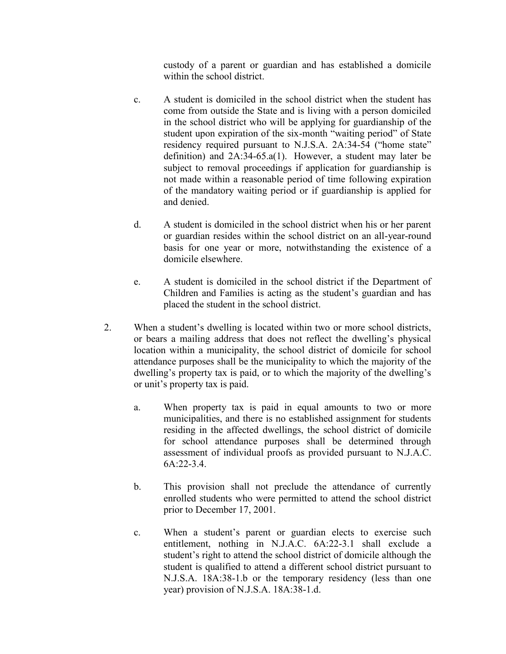custody of a parent or guardian and has established a domicile within the school district.

- c. A student is domiciled in the school district when the student has come from outside the State and is living with a person domiciled in the school district who will be applying for guardianship of the student upon expiration of the six-month "waiting period" of State residency required pursuant to N.J.S.A. 2A:34-54 ("home state" definition) and 2A:34-65.a(1). However, a student may later be subject to removal proceedings if application for guardianship is not made within a reasonable period of time following expiration of the mandatory waiting period or if guardianship is applied for and denied.
- d. A student is domiciled in the school district when his or her parent or guardian resides within the school district on an all-year-round basis for one year or more, notwithstanding the existence of a domicile elsewhere.
- e. A student is domiciled in the school district if the Department of Children and Families is acting as the student's guardian and has placed the student in the school district.
- 2. When a student's dwelling is located within two or more school districts, or bears a mailing address that does not reflect the dwelling's physical location within a municipality, the school district of domicile for school attendance purposes shall be the municipality to which the majority of the dwelling's property tax is paid, or to which the majority of the dwelling's or unit's property tax is paid.
	- a. When property tax is paid in equal amounts to two or more municipalities, and there is no established assignment for students residing in the affected dwellings, the school district of domicile for school attendance purposes shall be determined through assessment of individual proofs as provided pursuant to N.J.A.C. 6A:22-3.4.
	- b. This provision shall not preclude the attendance of currently enrolled students who were permitted to attend the school district prior to December 17, 2001.
	- c. When a student's parent or guardian elects to exercise such entitlement, nothing in N.J.A.C. 6A:22-3.1 shall exclude a student's right to attend the school district of domicile although the student is qualified to attend a different school district pursuant to N.J.S.A. 18A:38-1.b or the temporary residency (less than one year) provision of N.J.S.A. 18A:38-1.d.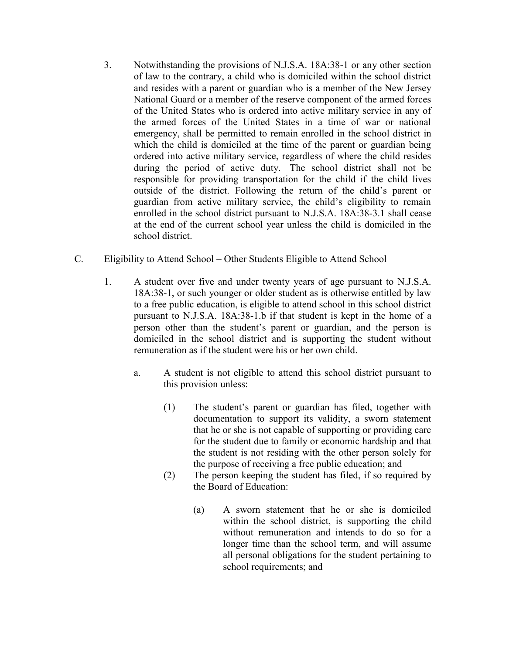- 3. Notwithstanding the provisions of N.J.S.A. 18A:38-1 or any other section of law to the contrary, a child who is domiciled within the school district and resides with a parent or guardian who is a member of the New Jersey National Guard or a member of the reserve component of the armed forces of the United States who is ordered into active military service in any of the armed forces of the United States in a time of war or national emergency, shall be permitted to remain enrolled in the school district in which the child is domiciled at the time of the parent or guardian being ordered into active military service, regardless of where the child resides during the period of active duty. The school district shall not be responsible for providing transportation for the child if the child lives outside of the district. Following the return of the child's parent or guardian from active military service, the child's eligibility to remain enrolled in the school district pursuant to N.J.S.A. 18A:38-3.1 shall cease at the end of the current school year unless the child is domiciled in the school district.
- C. Eligibility to Attend School Other Students Eligible to Attend School
	- 1. A student over five and under twenty years of age pursuant to N.J.S.A. 18A:38-1, or such younger or older student as is otherwise entitled by law to a free public education, is eligible to attend school in this school district pursuant to N.J.S.A. 18A:38-1.b if that student is kept in the home of a person other than the student's parent or guardian, and the person is domiciled in the school district and is supporting the student without remuneration as if the student were his or her own child.
		- a. A student is not eligible to attend this school district pursuant to this provision unless:
			- (1) The student's parent or guardian has filed, together with documentation to support its validity, a sworn statement that he or she is not capable of supporting or providing care for the student due to family or economic hardship and that the student is not residing with the other person solely for the purpose of receiving a free public education; and
			- (2) The person keeping the student has filed, if so required by the Board of Education:
				- (a) A sworn statement that he or she is domiciled within the school district, is supporting the child without remuneration and intends to do so for a longer time than the school term, and will assume all personal obligations for the student pertaining to school requirements; and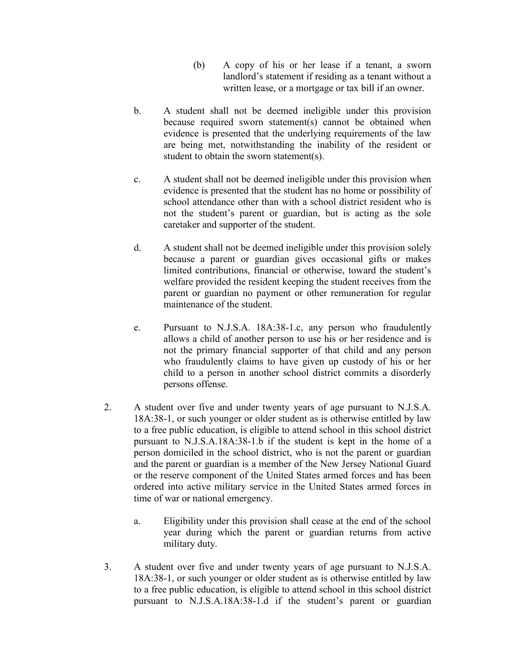- (b) A copy of his or her lease if a tenant, a sworn landlord's statement if residing as a tenant without a written lease, or a mortgage or tax bill if an owner.
- b. A student shall not be deemed ineligible under this provision because required sworn statement(s) cannot be obtained when evidence is presented that the underlying requirements of the law are being met, notwithstanding the inability of the resident or student to obtain the sworn statement(s).
- c. A student shall not be deemed ineligible under this provision when evidence is presented that the student has no home or possibility of school attendance other than with a school district resident who is not the student's parent or guardian, but is acting as the sole caretaker and supporter of the student.
- d. A student shall not be deemed ineligible under this provision solely because a parent or guardian gives occasional gifts or makes limited contributions, financial or otherwise, toward the student's welfare provided the resident keeping the student receives from the parent or guardian no payment or other remuneration for regular maintenance of the student.
- e. Pursuant to N.J.S.A. 18A:38-1.c, any person who fraudulently allows a child of another person to use his or her residence and is not the primary financial supporter of that child and any person who fraudulently claims to have given up custody of his or her child to a person in another school district commits a disorderly persons offense.
- 2. A student over five and under twenty years of age pursuant to N.J.S.A. 18A:38-1, or such younger or older student as is otherwise entitled by law to a free public education, is eligible to attend school in this school district pursuant to N.J.S.A.18A:38-1.b if the student is kept in the home of a person domiciled in the school district, who is not the parent or guardian and the parent or guardian is a member of the New Jersey National Guard or the reserve component of the United States armed forces and has been ordered into active military service in the United States armed forces in time of war or national emergency.
	- a. Eligibility under this provision shall cease at the end of the school year during which the parent or guardian returns from active military duty.
- 3. A student over five and under twenty years of age pursuant to N.J.S.A. 18A:38-1, or such younger or older student as is otherwise entitled by law to a free public education, is eligible to attend school in this school district pursuant to N.J.S.A.18A:38-1.d if the student's parent or guardian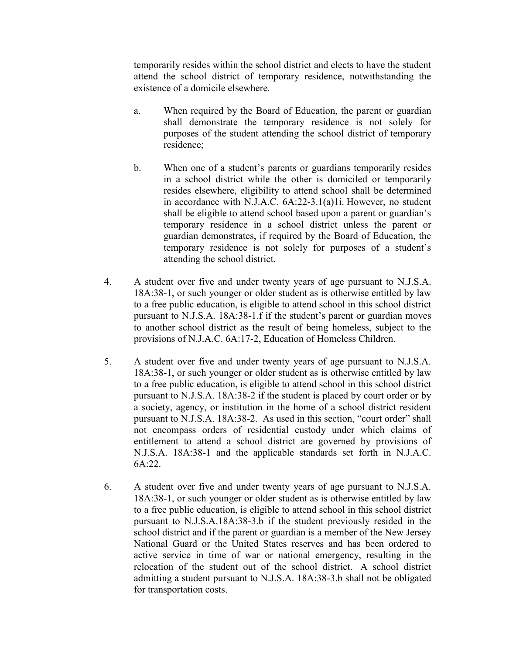temporarily resides within the school district and elects to have the student attend the school district of temporary residence, notwithstanding the existence of a domicile elsewhere.

- a. When required by the Board of Education, the parent or guardian shall demonstrate the temporary residence is not solely for purposes of the student attending the school district of temporary residence;
- b. When one of a student's parents or guardians temporarily resides in a school district while the other is domiciled or temporarily resides elsewhere, eligibility to attend school shall be determined in accordance with N.J.A.C. 6A:22-3.1(a)1i. However, no student shall be eligible to attend school based upon a parent or guardian's temporary residence in a school district unless the parent or guardian demonstrates, if required by the Board of Education, the temporary residence is not solely for purposes of a student's attending the school district.
- 4. A student over five and under twenty years of age pursuant to N.J.S.A. 18A:38-1, or such younger or older student as is otherwise entitled by law to a free public education, is eligible to attend school in this school district pursuant to N.J.S.A. 18A:38-1.f if the student's parent or guardian moves to another school district as the result of being homeless, subject to the provisions of N.J.A.C. 6A:17-2, Education of Homeless Children.
- 5. A student over five and under twenty years of age pursuant to N.J.S.A. 18A:38-1, or such younger or older student as is otherwise entitled by law to a free public education, is eligible to attend school in this school district pursuant to N.J.S.A. 18A:38-2 if the student is placed by court order or by a society, agency, or institution in the home of a school district resident pursuant to N.J.S.A. 18A:38-2. As used in this section, "court order" shall not encompass orders of residential custody under which claims of entitlement to attend a school district are governed by provisions of N.J.S.A. 18A:38-1 and the applicable standards set forth in N.J.A.C. 6A:22.
- 6. A student over five and under twenty years of age pursuant to N.J.S.A. 18A:38-1, or such younger or older student as is otherwise entitled by law to a free public education, is eligible to attend school in this school district pursuant to N.J.S.A.18A:38-3.b if the student previously resided in the school district and if the parent or guardian is a member of the New Jersey National Guard or the United States reserves and has been ordered to active service in time of war or national emergency, resulting in the relocation of the student out of the school district. A school district admitting a student pursuant to N.J.S.A. 18A:38-3.b shall not be obligated for transportation costs.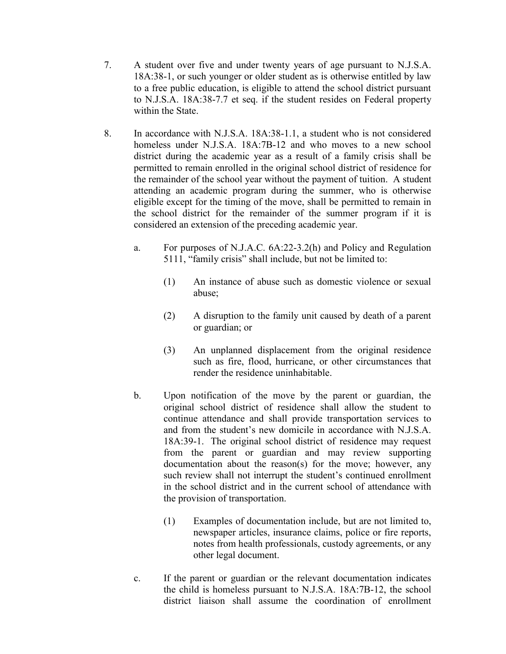- 7. A student over five and under twenty years of age pursuant to N.J.S.A. 18A:38-1, or such younger or older student as is otherwise entitled by law to a free public education, is eligible to attend the school district pursuant to N.J.S.A. 18A:38-7.7 et seq. if the student resides on Federal property within the State.
- 8. In accordance with N.J.S.A. 18A:38-1.1, a student who is not considered homeless under N.J.S.A. 18A:7B-12 and who moves to a new school district during the academic year as a result of a family crisis shall be permitted to remain enrolled in the original school district of residence for the remainder of the school year without the payment of tuition. A student attending an academic program during the summer, who is otherwise eligible except for the timing of the move, shall be permitted to remain in the school district for the remainder of the summer program if it is considered an extension of the preceding academic year.
	- a. For purposes of N.J.A.C. 6A:22-3.2(h) and Policy and Regulation 5111, "family crisis" shall include, but not be limited to:
		- (1) An instance of abuse such as domestic violence or sexual abuse;
		- (2) A disruption to the family unit caused by death of a parent or guardian; or
		- (3) An unplanned displacement from the original residence such as fire, flood, hurricane, or other circumstances that render the residence uninhabitable.
	- b. Upon notification of the move by the parent or guardian, the original school district of residence shall allow the student to continue attendance and shall provide transportation services to and from the student's new domicile in accordance with N.J.S.A. 18A:39-1. The original school district of residence may request from the parent or guardian and may review supporting documentation about the reason(s) for the move; however, any such review shall not interrupt the student's continued enrollment in the school district and in the current school of attendance with the provision of transportation.
		- (1) Examples of documentation include, but are not limited to, newspaper articles, insurance claims, police or fire reports, notes from health professionals, custody agreements, or any other legal document.
	- c. If the parent or guardian or the relevant documentation indicates the child is homeless pursuant to N.J.S.A. 18A:7B-12, the school district liaison shall assume the coordination of enrollment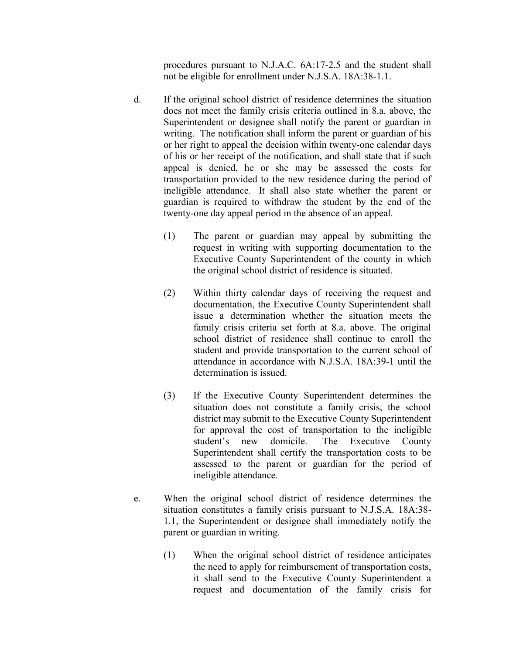procedures pursuant to N.J.A.C. 6A:17-2.5 and the student shall not be eligible for enrollment under N.J.S.A. 18A:38-1.1.

- d. If the original school district of residence determines the situation does not meet the family crisis criteria outlined in 8.a. above, the Superintendent or designee shall notify the parent or guardian in writing. The notification shall inform the parent or guardian of his or her right to appeal the decision within twenty-one calendar days of his or her receipt of the notification, and shall state that if such appeal is denied, he or she may be assessed the costs for transportation provided to the new residence during the period of ineligible attendance. It shall also state whether the parent or guardian is required to withdraw the student by the end of the twenty-one day appeal period in the absence of an appeal.
	- (1) The parent or guardian may appeal by submitting the request in writing with supporting documentation to the Executive County Superintendent of the county in which the original school district of residence is situated.
	- (2) Within thirty calendar days of receiving the request and documentation, the Executive County Superintendent shall issue a determination whether the situation meets the family crisis criteria set forth at 8.a. above. The original school district of residence shall continue to enroll the student and provide transportation to the current school of attendance in accordance with N.J.S.A. 18A:39-1 until the determination is issued.
	- (3) If the Executive County Superintendent determines the situation does not constitute a family crisis, the school district may submit to the Executive County Superintendent for approval the cost of transportation to the ineligible student's new domicile. The Executive County Superintendent shall certify the transportation costs to be assessed to the parent or guardian for the period of ineligible attendance.
- e. When the original school district of residence determines the situation constitutes a family crisis pursuant to N.J.S.A. 18A:38- 1.1, the Superintendent or designee shall immediately notify the parent or guardian in writing.
	- (1) When the original school district of residence anticipates the need to apply for reimbursement of transportation costs, it shall send to the Executive County Superintendent a request and documentation of the family crisis for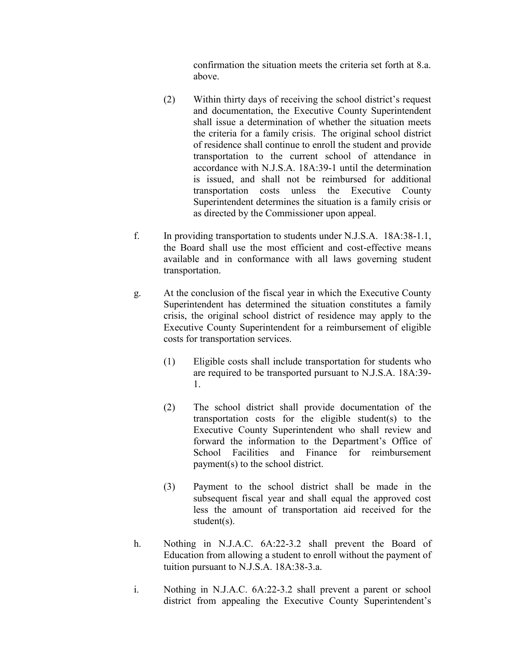confirmation the situation meets the criteria set forth at 8.a. above.

- (2) Within thirty days of receiving the school district's request and documentation, the Executive County Superintendent shall issue a determination of whether the situation meets the criteria for a family crisis. The original school district of residence shall continue to enroll the student and provide transportation to the current school of attendance in accordance with N.J.S.A. 18A:39-1 until the determination is issued, and shall not be reimbursed for additional transportation costs unless the Executive County Superintendent determines the situation is a family crisis or as directed by the Commissioner upon appeal.
- f. In providing transportation to students under N.J.S.A. 18A:38-1.1, the Board shall use the most efficient and cost-effective means available and in conformance with all laws governing student transportation.
- g. At the conclusion of the fiscal year in which the Executive County Superintendent has determined the situation constitutes a family crisis, the original school district of residence may apply to the Executive County Superintendent for a reimbursement of eligible costs for transportation services.
	- (1) Eligible costs shall include transportation for students who are required to be transported pursuant to N.J.S.A. 18A:39- 1.
	- (2) The school district shall provide documentation of the transportation costs for the eligible student(s) to the Executive County Superintendent who shall review and forward the information to the Department's Office of School Facilities and Finance for reimbursement payment(s) to the school district.
	- (3) Payment to the school district shall be made in the subsequent fiscal year and shall equal the approved cost less the amount of transportation aid received for the student(s).
- h. Nothing in N.J.A.C. 6A:22-3.2 shall prevent the Board of Education from allowing a student to enroll without the payment of tuition pursuant to N.J.S.A. 18A:38-3.a.
- i. Nothing in N.J.A.C. 6A:22-3.2 shall prevent a parent or school district from appealing the Executive County Superintendent's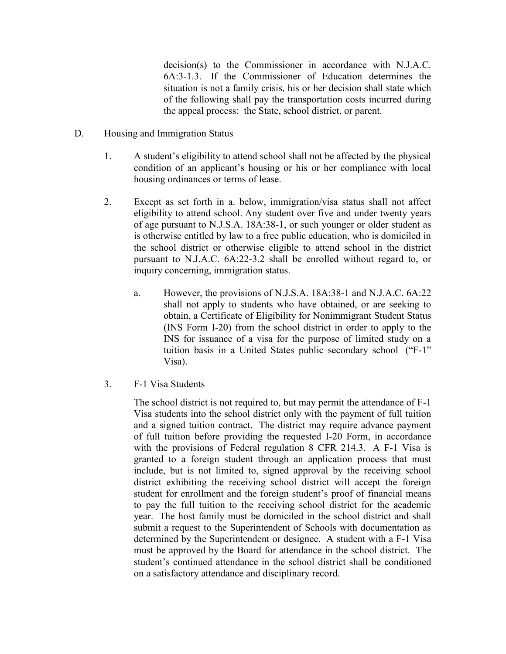decision(s) to the Commissioner in accordance with N.J.A.C. 6A:3-1.3. If the Commissioner of Education determines the situation is not a family crisis, his or her decision shall state which of the following shall pay the transportation costs incurred during the appeal process: the State, school district, or parent.

- D. Housing and Immigration Status
	- 1. A student's eligibility to attend school shall not be affected by the physical condition of an applicant's housing or his or her compliance with local housing ordinances or terms of lease.
	- 2. Except as set forth in a. below, immigration/visa status shall not affect eligibility to attend school. Any student over five and under twenty years of age pursuant to N.J.S.A. 18A:38-1, or such younger or older student as is otherwise entitled by law to a free public education, who is domiciled in the school district or otherwise eligible to attend school in the district pursuant to N.J.A.C. 6A:22-3.2 shall be enrolled without regard to, or inquiry concerning, immigration status.
		- a. However, the provisions of N.J.S.A. 18A:38-1 and N.J.A.C. 6A:22 shall not apply to students who have obtained, or are seeking to obtain, a Certificate of Eligibility for Nonimmigrant Student Status (INS Form I-20) from the school district in order to apply to the INS for issuance of a visa for the purpose of limited study on a tuition basis in a United States public secondary school ("F-1" Visa).
	- 3. F-1 Visa Students

The school district is not required to, but may permit the attendance of F-1 Visa students into the school district only with the payment of full tuition and a signed tuition contract. The district may require advance payment of full tuition before providing the requested I-20 Form, in accordance with the provisions of Federal regulation 8 CFR 214.3. A F-1 Visa is granted to a foreign student through an application process that must include, but is not limited to, signed approval by the receiving school district exhibiting the receiving school district will accept the foreign student for enrollment and the foreign student's proof of financial means to pay the full tuition to the receiving school district for the academic year. The host family must be domiciled in the school district and shall submit a request to the Superintendent of Schools with documentation as determined by the Superintendent or designee. A student with a F-1 Visa must be approved by the Board for attendance in the school district. The student's continued attendance in the school district shall be conditioned on a satisfactory attendance and disciplinary record.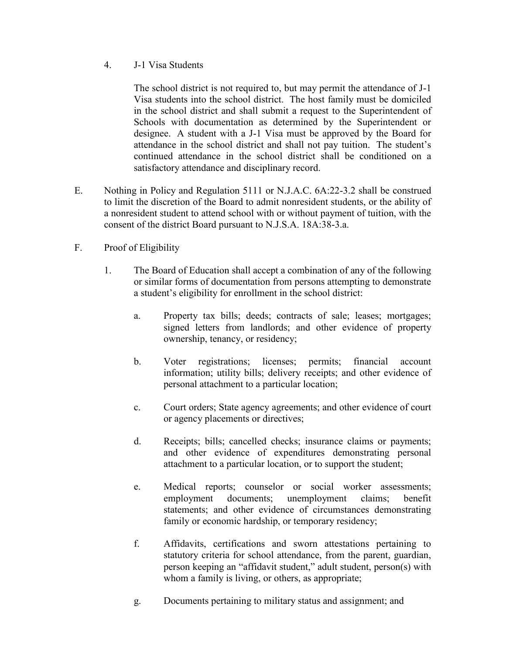4. J-1 Visa Students

The school district is not required to, but may permit the attendance of J-1 Visa students into the school district. The host family must be domiciled in the school district and shall submit a request to the Superintendent of Schools with documentation as determined by the Superintendent or designee. A student with a J-1 Visa must be approved by the Board for attendance in the school district and shall not pay tuition. The student's continued attendance in the school district shall be conditioned on a satisfactory attendance and disciplinary record.

- E. Nothing in Policy and Regulation 5111 or N.J.A.C. 6A:22-3.2 shall be construed to limit the discretion of the Board to admit nonresident students, or the ability of a nonresident student to attend school with or without payment of tuition, with the consent of the district Board pursuant to N.J.S.A. 18A:38-3.a.
- F. Proof of Eligibility
	- 1. The Board of Education shall accept a combination of any of the following or similar forms of documentation from persons attempting to demonstrate a student's eligibility for enrollment in the school district:
		- a. Property tax bills; deeds; contracts of sale; leases; mortgages; signed letters from landlords; and other evidence of property ownership, tenancy, or residency;
		- b. Voter registrations; licenses; permits; financial account information; utility bills; delivery receipts; and other evidence of personal attachment to a particular location;
		- c. Court orders; State agency agreements; and other evidence of court or agency placements or directives;
		- d. Receipts; bills; cancelled checks; insurance claims or payments; and other evidence of expenditures demonstrating personal attachment to a particular location, or to support the student;
		- e. Medical reports; counselor or social worker assessments; employment documents; unemployment claims; benefit statements; and other evidence of circumstances demonstrating family or economic hardship, or temporary residency;
		- f. Affidavits, certifications and sworn attestations pertaining to statutory criteria for school attendance, from the parent, guardian, person keeping an "affidavit student," adult student, person(s) with whom a family is living, or others, as appropriate;
		- g. Documents pertaining to military status and assignment; and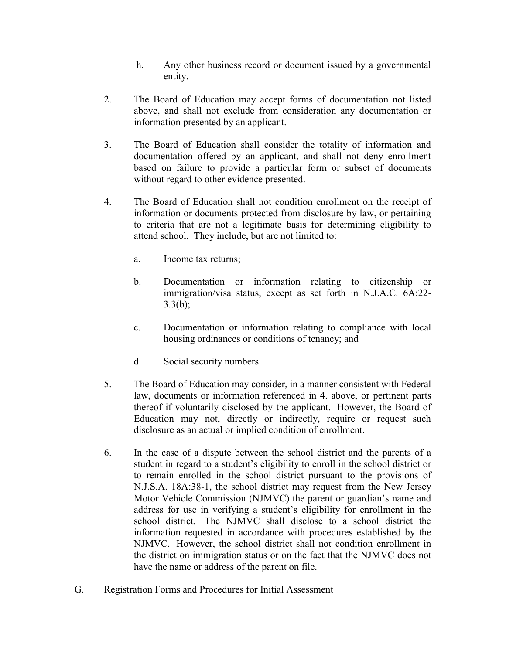- h. Any other business record or document issued by a governmental entity.
- 2. The Board of Education may accept forms of documentation not listed above, and shall not exclude from consideration any documentation or information presented by an applicant.
- 3. The Board of Education shall consider the totality of information and documentation offered by an applicant, and shall not deny enrollment based on failure to provide a particular form or subset of documents without regard to other evidence presented.
- 4. The Board of Education shall not condition enrollment on the receipt of information or documents protected from disclosure by law, or pertaining to criteria that are not a legitimate basis for determining eligibility to attend school. They include, but are not limited to:
	- a. Income tax returns;
	- b. Documentation or information relating to citizenship or immigration/visa status, except as set forth in N.J.A.C. 6A:22-  $3.3(b);$
	- c. Documentation or information relating to compliance with local housing ordinances or conditions of tenancy; and
	- d. Social security numbers.
- 5. The Board of Education may consider, in a manner consistent with Federal law, documents or information referenced in 4. above, or pertinent parts thereof if voluntarily disclosed by the applicant. However, the Board of Education may not, directly or indirectly, require or request such disclosure as an actual or implied condition of enrollment.
- 6. In the case of a dispute between the school district and the parents of a student in regard to a student's eligibility to enroll in the school district or to remain enrolled in the school district pursuant to the provisions of N.J.S.A. 18A:38-1, the school district may request from the New Jersey Motor Vehicle Commission (NJMVC) the parent or guardian's name and address for use in verifying a student's eligibility for enrollment in the school district. The NJMVC shall disclose to a school district the information requested in accordance with procedures established by the NJMVC. However, the school district shall not condition enrollment in the district on immigration status or on the fact that the NJMVC does not have the name or address of the parent on file.
- G. Registration Forms and Procedures for Initial Assessment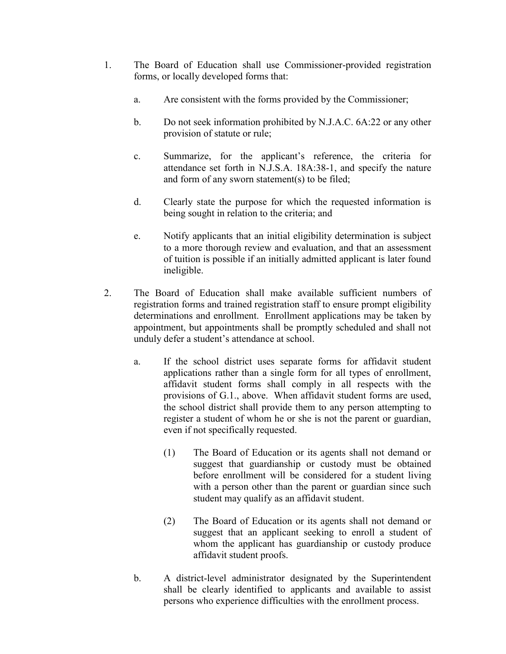- 1. The Board of Education shall use Commissioner-provided registration forms, or locally developed forms that:
	- a. Are consistent with the forms provided by the Commissioner;
	- b. Do not seek information prohibited by N.J.A.C. 6A:22 or any other provision of statute or rule;
	- c. Summarize, for the applicant's reference, the criteria for attendance set forth in N.J.S.A. 18A:38-1, and specify the nature and form of any sworn statement(s) to be filed;
	- d. Clearly state the purpose for which the requested information is being sought in relation to the criteria; and
	- e. Notify applicants that an initial eligibility determination is subject to a more thorough review and evaluation, and that an assessment of tuition is possible if an initially admitted applicant is later found ineligible.
- 2. The Board of Education shall make available sufficient numbers of registration forms and trained registration staff to ensure prompt eligibility determinations and enrollment. Enrollment applications may be taken by appointment, but appointments shall be promptly scheduled and shall not unduly defer a student's attendance at school.
	- a. If the school district uses separate forms for affidavit student applications rather than a single form for all types of enrollment, affidavit student forms shall comply in all respects with the provisions of G.1., above. When affidavit student forms are used, the school district shall provide them to any person attempting to register a student of whom he or she is not the parent or guardian, even if not specifically requested.
		- (1) The Board of Education or its agents shall not demand or suggest that guardianship or custody must be obtained before enrollment will be considered for a student living with a person other than the parent or guardian since such student may qualify as an affidavit student.
		- (2) The Board of Education or its agents shall not demand or suggest that an applicant seeking to enroll a student of whom the applicant has guardianship or custody produce affidavit student proofs.
	- b. A district-level administrator designated by the Superintendent shall be clearly identified to applicants and available to assist persons who experience difficulties with the enrollment process.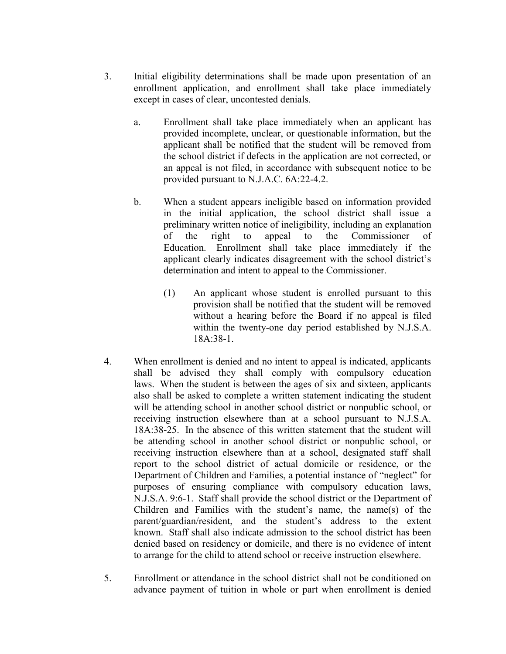- 3. Initial eligibility determinations shall be made upon presentation of an enrollment application, and enrollment shall take place immediately except in cases of clear, uncontested denials.
	- a. Enrollment shall take place immediately when an applicant has provided incomplete, unclear, or questionable information, but the applicant shall be notified that the student will be removed from the school district if defects in the application are not corrected, or an appeal is not filed, in accordance with subsequent notice to be provided pursuant to N.J.A.C. 6A:22-4.2.
	- b. When a student appears ineligible based on information provided in the initial application, the school district shall issue a preliminary written notice of ineligibility, including an explanation of the right to appeal to the Commissioner of Education. Enrollment shall take place immediately if the applicant clearly indicates disagreement with the school district's determination and intent to appeal to the Commissioner.
		- (1) An applicant whose student is enrolled pursuant to this provision shall be notified that the student will be removed without a hearing before the Board if no appeal is filed within the twenty-one day period established by N.J.S.A. 18A:38-1.
- 4. When enrollment is denied and no intent to appeal is indicated, applicants shall be advised they shall comply with compulsory education laws. When the student is between the ages of six and sixteen, applicants also shall be asked to complete a written statement indicating the student will be attending school in another school district or nonpublic school, or receiving instruction elsewhere than at a school pursuant to N.J.S.A. 18A:38-25. In the absence of this written statement that the student will be attending school in another school district or nonpublic school, or receiving instruction elsewhere than at a school, designated staff shall report to the school district of actual domicile or residence, or the Department of Children and Families, a potential instance of "neglect" for purposes of ensuring compliance with compulsory education laws, N.J.S.A. 9:6-1. Staff shall provide the school district or the Department of Children and Families with the student's name, the name(s) of the parent/guardian/resident, and the student's address to the extent known. Staff shall also indicate admission to the school district has been denied based on residency or domicile, and there is no evidence of intent to arrange for the child to attend school or receive instruction elsewhere.
- 5. Enrollment or attendance in the school district shall not be conditioned on advance payment of tuition in whole or part when enrollment is denied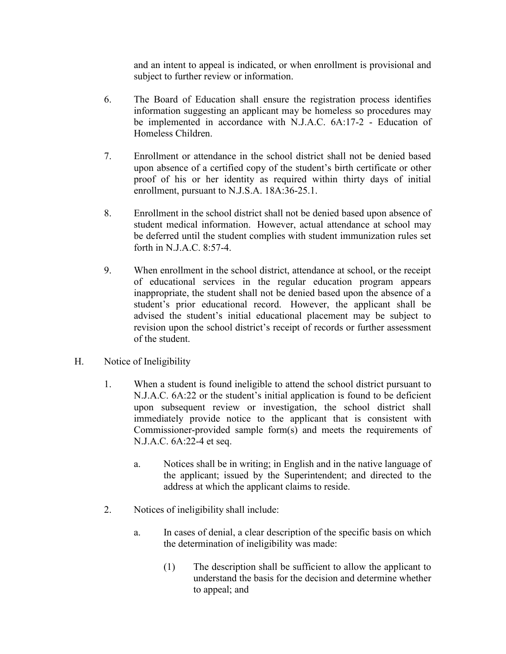and an intent to appeal is indicated, or when enrollment is provisional and subject to further review or information.

- 6. The Board of Education shall ensure the registration process identifies information suggesting an applicant may be homeless so procedures may be implemented in accordance with N.J.A.C. 6A:17-2 - Education of Homeless Children.
- 7. Enrollment or attendance in the school district shall not be denied based upon absence of a certified copy of the student's birth certificate or other proof of his or her identity as required within thirty days of initial enrollment, pursuant to N.J.S.A. 18A:36-25.1.
- 8. Enrollment in the school district shall not be denied based upon absence of student medical information. However, actual attendance at school may be deferred until the student complies with student immunization rules set forth in N.J.A.C. 8:57-4.
- 9. When enrollment in the school district, attendance at school, or the receipt of educational services in the regular education program appears inappropriate, the student shall not be denied based upon the absence of a student's prior educational record. However, the applicant shall be advised the student's initial educational placement may be subject to revision upon the school district's receipt of records or further assessment of the student.
- H. Notice of Ineligibility
	- 1. When a student is found ineligible to attend the school district pursuant to N.J.A.C. 6A:22 or the student's initial application is found to be deficient upon subsequent review or investigation, the school district shall immediately provide notice to the applicant that is consistent with Commissioner-provided sample form(s) and meets the requirements of N.J.A.C. 6A:22-4 et seq.
		- a. Notices shall be in writing; in English and in the native language of the applicant; issued by the Superintendent; and directed to the address at which the applicant claims to reside.
	- 2. Notices of ineligibility shall include:
		- a. In cases of denial, a clear description of the specific basis on which the determination of ineligibility was made:
			- (1) The description shall be sufficient to allow the applicant to understand the basis for the decision and determine whether to appeal; and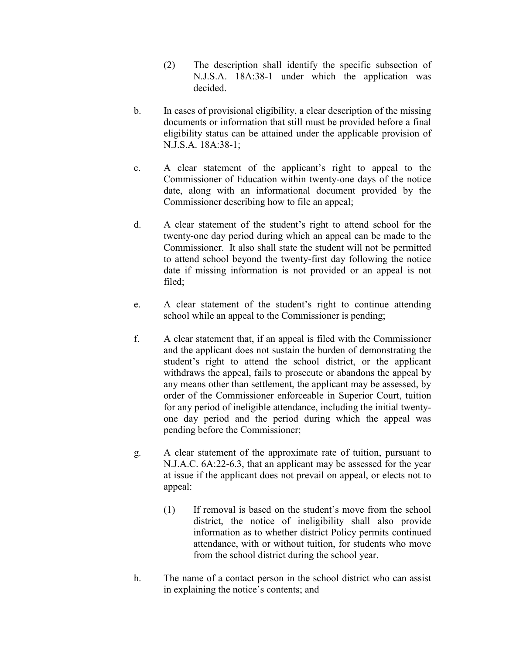- (2) The description shall identify the specific subsection of N.J.S.A. 18A:38-1 under which the application was decided.
- b. In cases of provisional eligibility, a clear description of the missing documents or information that still must be provided before a final eligibility status can be attained under the applicable provision of N.J.S.A. 18A:38-1;
- c. A clear statement of the applicant's right to appeal to the Commissioner of Education within twenty-one days of the notice date, along with an informational document provided by the Commissioner describing how to file an appeal;
- d. A clear statement of the student's right to attend school for the twenty-one day period during which an appeal can be made to the Commissioner. It also shall state the student will not be permitted to attend school beyond the twenty-first day following the notice date if missing information is not provided or an appeal is not filed;
- e. A clear statement of the student's right to continue attending school while an appeal to the Commissioner is pending;
- f. A clear statement that, if an appeal is filed with the Commissioner and the applicant does not sustain the burden of demonstrating the student's right to attend the school district, or the applicant withdraws the appeal, fails to prosecute or abandons the appeal by any means other than settlement, the applicant may be assessed, by order of the Commissioner enforceable in Superior Court, tuition for any period of ineligible attendance, including the initial twentyone day period and the period during which the appeal was pending before the Commissioner;
- g. A clear statement of the approximate rate of tuition, pursuant to N.J.A.C. 6A:22-6.3, that an applicant may be assessed for the year at issue if the applicant does not prevail on appeal, or elects not to appeal:
	- (1) If removal is based on the student's move from the school district, the notice of ineligibility shall also provide information as to whether district Policy permits continued attendance, with or without tuition, for students who move from the school district during the school year.
- h. The name of a contact person in the school district who can assist in explaining the notice's contents; and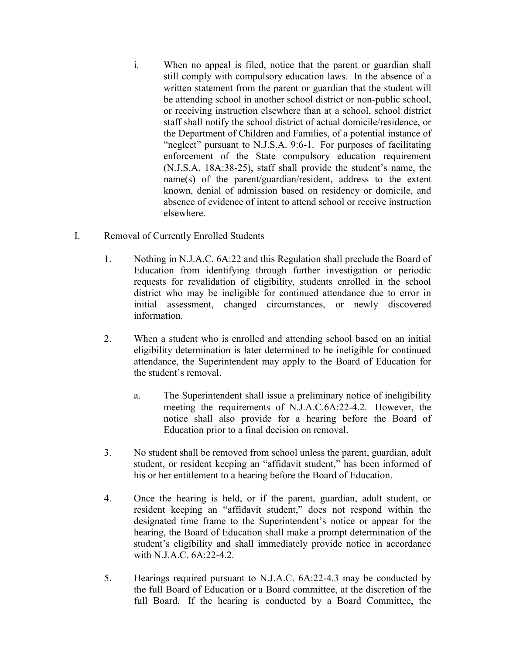- i. When no appeal is filed, notice that the parent or guardian shall still comply with compulsory education laws. In the absence of a written statement from the parent or guardian that the student will be attending school in another school district or non-public school, or receiving instruction elsewhere than at a school, school district staff shall notify the school district of actual domicile/residence, or the Department of Children and Families, of a potential instance of "neglect" pursuant to N.J.S.A. 9:6-1. For purposes of facilitating enforcement of the State compulsory education requirement (N.J.S.A. 18A:38-25), staff shall provide the student's name, the name(s) of the parent/guardian/resident, address to the extent known, denial of admission based on residency or domicile, and absence of evidence of intent to attend school or receive instruction elsewhere.
- I. Removal of Currently Enrolled Students
	- 1. Nothing in N.J.A.C. 6A:22 and this Regulation shall preclude the Board of Education from identifying through further investigation or periodic requests for revalidation of eligibility, students enrolled in the school district who may be ineligible for continued attendance due to error in initial assessment, changed circumstances, or newly discovered information.
	- 2. When a student who is enrolled and attending school based on an initial eligibility determination is later determined to be ineligible for continued attendance, the Superintendent may apply to the Board of Education for the student's removal.
		- a. The Superintendent shall issue a preliminary notice of ineligibility meeting the requirements of N.J.A.C.6A:22-4.2. However, the notice shall also provide for a hearing before the Board of Education prior to a final decision on removal.
	- 3. No student shall be removed from school unless the parent, guardian, adult student, or resident keeping an "affidavit student," has been informed of his or her entitlement to a hearing before the Board of Education.
	- 4. Once the hearing is held, or if the parent, guardian, adult student, or resident keeping an "affidavit student," does not respond within the designated time frame to the Superintendent's notice or appear for the hearing, the Board of Education shall make a prompt determination of the student's eligibility and shall immediately provide notice in accordance with N.J.A.C. 6A:22-4.2.
	- 5. Hearings required pursuant to N.J.A.C. 6A:22-4.3 may be conducted by the full Board of Education or a Board committee, at the discretion of the full Board. If the hearing is conducted by a Board Committee, the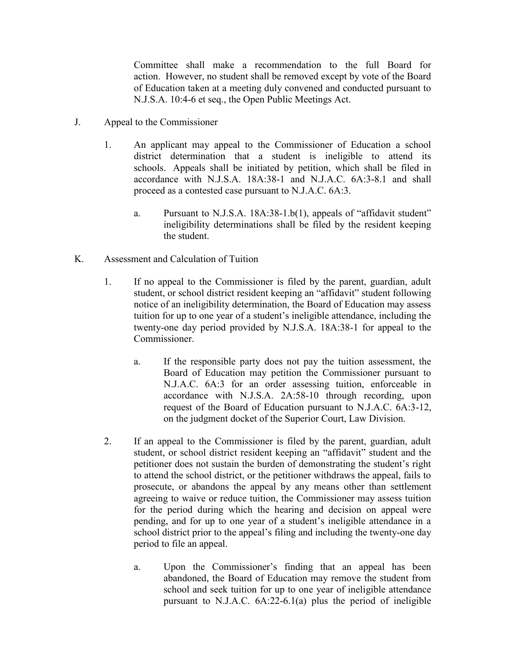Committee shall make a recommendation to the full Board for action. However, no student shall be removed except by vote of the Board of Education taken at a meeting duly convened and conducted pursuant to N.J.S.A. 10:4-6 et seq., the Open Public Meetings Act.

- J. Appeal to the Commissioner
	- 1. An applicant may appeal to the Commissioner of Education a school district determination that a student is ineligible to attend its schools. Appeals shall be initiated by petition, which shall be filed in accordance with N.J.S.A. 18A:38-1 and N.J.A.C. 6A:3-8.1 and shall proceed as a contested case pursuant to N.J.A.C. 6A:3.
		- a. Pursuant to N.J.S.A. 18A:38-1.b(1), appeals of "affidavit student" ineligibility determinations shall be filed by the resident keeping the student.
- K. Assessment and Calculation of Tuition
	- 1. If no appeal to the Commissioner is filed by the parent, guardian, adult student, or school district resident keeping an "affidavit" student following notice of an ineligibility determination, the Board of Education may assess tuition for up to one year of a student's ineligible attendance, including the twenty-one day period provided by N.J.S.A. 18A:38-1 for appeal to the Commissioner.
		- a. If the responsible party does not pay the tuition assessment, the Board of Education may petition the Commissioner pursuant to N.J.A.C. 6A:3 for an order assessing tuition, enforceable in accordance with N.J.S.A. 2A:58-10 through recording, upon request of the Board of Education pursuant to N.J.A.C. 6A:3-12, on the judgment docket of the Superior Court, Law Division.
	- 2. If an appeal to the Commissioner is filed by the parent, guardian, adult student, or school district resident keeping an "affidavit" student and the petitioner does not sustain the burden of demonstrating the student's right to attend the school district, or the petitioner withdraws the appeal, fails to prosecute, or abandons the appeal by any means other than settlement agreeing to waive or reduce tuition, the Commissioner may assess tuition for the period during which the hearing and decision on appeal were pending, and for up to one year of a student's ineligible attendance in a school district prior to the appeal's filing and including the twenty-one day period to file an appeal.
		- a. Upon the Commissioner's finding that an appeal has been abandoned, the Board of Education may remove the student from school and seek tuition for up to one year of ineligible attendance pursuant to N.J.A.C. 6A:22-6.1(a) plus the period of ineligible